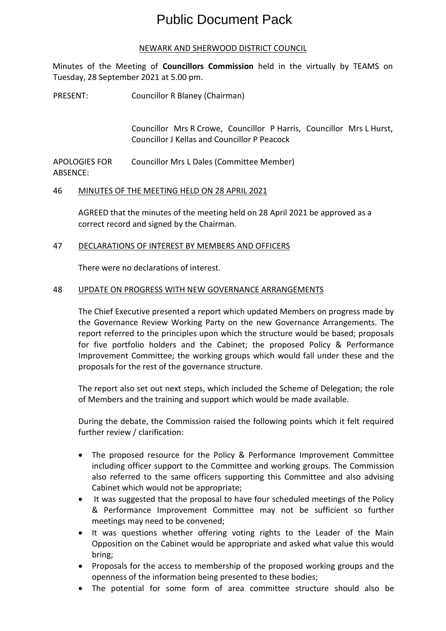# Public Document Pack

#### NEWARK AND SHERWOOD DISTRICT COUNCIL

Minutes of the Meeting of **Councillors Commission** held in the virtually by TEAMS on Tuesday, 28 September 2021 at 5.00 pm.

PRESENT: Councillor R Blaney (Chairman)

Councillor Mrs R Crowe, Councillor P Harris, Councillor Mrs L Hurst, Councillor J Kellas and Councillor P Peacock

APOLOGIES FOR ABSENCE: Councillor Mrs L Dales (Committee Member)

## 46 MINUTES OF THE MEETING HELD ON 28 APRIL 2021

AGREED that the minutes of the meeting held on 28 April 2021 be approved as a correct record and signed by the Chairman.

## 47 DECLARATIONS OF INTEREST BY MEMBERS AND OFFICERS

There were no declarations of interest.

## 48 UPDATE ON PROGRESS WITH NEW GOVERNANCE ARRANGEMENTS

The Chief Executive presented a report which updated Members on progress made by the Governance Review Working Party on the new Governance Arrangements. The report referred to the principles upon which the structure would be based; proposals for five portfolio holders and the Cabinet; the proposed Policy & Performance Improvement Committee; the working groups which would fall under these and the proposals for the rest of the governance structure.

The report also set out next steps, which included the Scheme of Delegation; the role of Members and the training and support which would be made available.

During the debate, the Commission raised the following points which it felt required further review / clarification:

- The proposed resource for the Policy & Performance Improvement Committee including officer support to the Committee and working groups. The Commission also referred to the same officers supporting this Committee and also advising Cabinet which would not be appropriate;
- It was suggested that the proposal to have four scheduled meetings of the Policy & Performance Improvement Committee may not be sufficient so further meetings may need to be convened;
- It was questions whether offering voting rights to the Leader of the Main Opposition on the Cabinet would be appropriate and asked what value this would bring;
- Proposals for the access to membership of the proposed working groups and the openness of the information being presented to these bodies;
- The potential for some form of area committee structure should also be